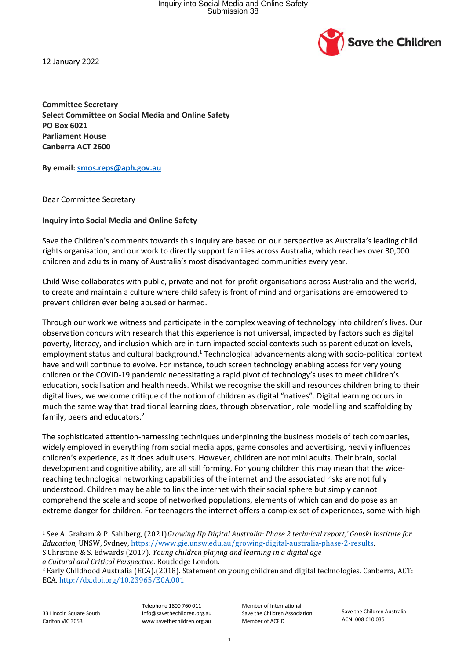

12 January 2022

**Committee Secretary Select Committee on Social Media and Online Safety PO Box 6021 Parliament House Canberra ACT 2600**

**By email: smos.reps@aph.gov.au**

Dear Committee Secretary

## **Inquiry into Social Media and Online Safety**

Save the Children's comments towards this inquiry are based on our perspective as Australia's leading child rights organisation, and our work to directly support families across Australia, which reaches over 30,000 children and adults in many of Australia's most disadvantaged communities every year.

Child Wise collaborates with public, private and not-for-profit organisations across Australia and the world, to create and maintain a culture where child safety is front of mind and organisations are empowered to prevent children ever being abused or harmed.

Through our work we witness and participate in the complex weaving of technology into children's lives. Our observation concurs with research that this experience is not universal, impacted by factors such as digital poverty, literacy, and inclusion which are in turn impacted social contexts such as parent education levels, employment status and cultural background.<sup>1</sup> Technological advancements along with socio-political context have and will continue to evolve. For instance, touch screen technology enabling access for very young children or the COVID-19 pandemic necessitating a rapid pivot of technology's uses to meet children's education, socialisation and health needs. Whilst we recognise the skill and resources children bring to their digital lives, we welcome critique of the notion of children as digital "natives". Digital learning occurs in much the same way that traditional learning does, through observation, role modelling and scaffolding by family, peers and educators.<sup>2</sup>

The sophisticated attention-harnessing techniques underpinning the business models of tech companies, widely employed in everything from social media apps, game consoles and advertising, heavily influences children's experience, as it does adult users. However, children are not mini adults. Their brain, social development and cognitive ability, are all still forming. For young children this may mean that the widereaching technological networking capabilities of the internet and the associated risks are not fully understood. Children may be able to link the internet with their social sphere but simply cannot comprehend the scale and scope of networked populations, elements of which can and do pose as an extreme danger for children. For teenagers the internet offers a complex set of experiences, some with high

*a Cultural and Critical Perspective.* Routledge London.

33 Lincoln Square South Carlton VIC 3053

Telephone 1800 760 011 info@savethechildren.org.au www savethechildren.org.au

Member of International Save the Children Association Member of ACFID

Save the Children Australia ACN: 008 610 035

<sup>1</sup> See A. Graham & P. Sahlberg, (2021)*Growing Up Digital Australia: Phase 2 technical report,' Gonski Institute for Education,* UNSW, Sydney, https://www.gie.unsw.edu.au/growing-digital-australia-phase-2-results. S Christine & S. Edwards (2017). *Young children playing and learning in a digital age*

<sup>2</sup> Early Childhood Australia (ECA).(2018). Statement on young children and digital technologies. Canberra, ACT: ECA. http://dx.doi.org/10.23965/ECA.001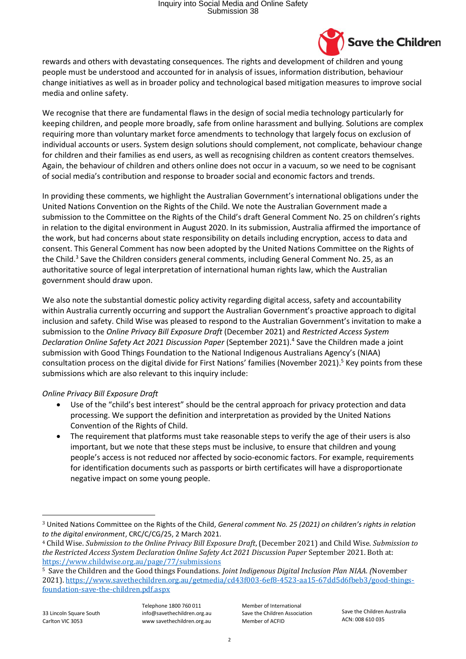

rewards and others with devastating consequences. The rights and development of children and young people must be understood and accounted for in analysis of issues, information distribution, behaviour change initiatives as well as in broader policy and technological based mitigation measures to improve social media and online safety.

We recognise that there are fundamental flaws in the design of social media technology particularly for keeping children, and people more broadly, safe from online harassment and bullying. Solutions are complex requiring more than voluntary market force amendments to technology that largely focus on exclusion of individual accounts or users. System design solutions should complement, not complicate, behaviour change for children and their families as end users, as well as recognising children as content creators themselves. Again, the behaviour of children and others online does not occur in a vacuum, so we need to be cognisant of social media's contribution and response to broader social and economic factors and trends.

In providing these comments, we highlight the Australian Government's international obligations under the United Nations Convention on the Rights of the Child. We note the Australian Government made a submission to the Committee on the Rights of the Child's draft General Comment No. 25 on children's rights in relation to the digital environment in August 2020. In its submission, Australia affirmed the importance of the work, but had concerns about state responsibility on details including encryption, access to data and consent. This General Comment has now been adopted by the United Nations Committee on the Rights of the Child.<sup>3</sup> Save the Children considers general comments, including General Comment No. 25, as an authoritative source of legal interpretation of international human rights law, which the Australian government should draw upon.

We also note the substantial domestic policy activity regarding digital access, safety and accountability within Australia currently occurring and support the Australian Government's proactive approach to digital inclusion and safety. Child Wise was pleased to respond to the Australian Government's invitation to make a submission to the *Online Privacy Bill Exposure Draft* (December 2021) and *Restricted Access System Declaration Online Safety Act 2021 Discussion Paper* (September 2021). 4 Save the Children made a joint submission with Good Things Foundation to the National Indigenous Australians Agency's (NIAA) consultation process on the digital divide for First Nations' families (November 2021). <sup>5</sup> Key points from these submissions which are also relevant to this inquiry include:

## *Online Privacy Bill Exposure Draft*

- Use of the "child's best interest" should be the central approach for privacy protection and data processing. We support the definition and interpretation as provided by the United Nations Convention of the Rights of Child.
- The requirement that platforms must take reasonable steps to verify the age of their users is also important, but we note that these steps must be inclusive, to ensure that children and young people's access is not reduced nor affected by socio-economic factors. For example, requirements for identification documents such as passports or birth certificates will have a disproportionate negative impact on some young people.

33 Lincoln Square South Carlton VIC 3053

Telephone 1800 760 011 info@savethechildren.org.au www savethechildren.org.au

Member of International Save the Children Association Member of ACFID

Save the Children Australia ACN: 008 610 035

<sup>3</sup> United Nations Committee on the Rights of the Child, *General comment No. 25 (2021) on children's rights in relation to the digital environment*, CRC/C/CG/25, 2 March 2021.

<sup>4</sup> Child Wise. *Submission to the Online Privacy Bill Exposure Draft*, (December 2021) and Child Wise. *Submission to the Restricted Access System Declaration Online Safety Act 2021 Discussion Paper* September 2021. Both at: https://www.childwise.org.au/page/77/submissions

<sup>5</sup> Save the Children and the Good things Foundations*. Joint Indigenous Digital Inclusion Plan NIAA. (*November 2021). https://www.savethechildren.org.au/getmedia/cd43f003-6ef8-4523-aa15-67dd5d6fbeb3/good-thingsfoundation-save-the-children.pdf.aspx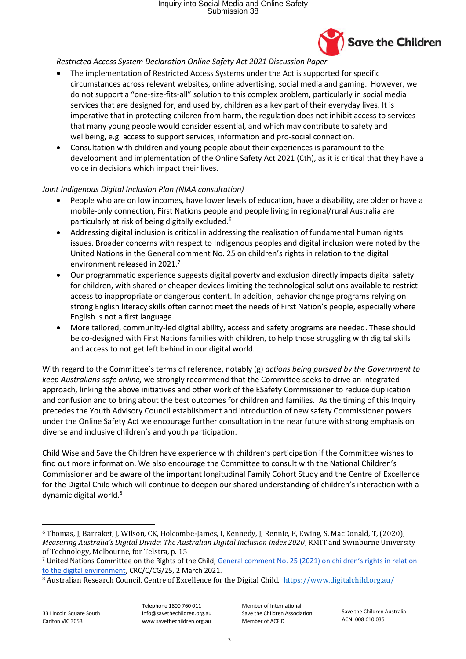## Inquiry into Social Media and Online Safety Submission 38



*Restricted Access System Declaration Online Safety Act 2021 Discussion Paper*

- The implementation of Restricted Access Systems under the Act is supported for specific circumstances across relevant websites, online advertising, social media and gaming. However, we do not support a "one-size-fits-all" solution to this complex problem, particularly in social media services that are designed for, and used by, children as a key part of their everyday lives. It is imperative that in protecting children from harm, the regulation does not inhibit access to services that many young people would consider essential, and which may contribute to safety and wellbeing, e.g. access to support services, information and pro-social connection.
- Consultation with children and young people about their experiences is paramount to the development and implementation of the Online Safety Act 2021 (Cth), as it is critical that they have a voice in decisions which impact their lives.

## *Joint Indigenous Digital Inclusion Plan (NIAA consultation)*

- People who are on low incomes, have lower levels of education, have a disability, are older or have a mobile-only connection, First Nations people and people living in regional/rural Australia are particularly at risk of being digitally excluded.<sup>6</sup>
- Addressing digital inclusion is critical in addressing the realisation of fundamental human rights issues. Broader concerns with respect to Indigenous peoples and digital inclusion were noted by the United Nations in the General comment No. 25 on children's rights in relation to the digital environment released in 2021. 7
- Our programmatic experience suggests digital poverty and exclusion directly impacts digital safety for children, with shared or cheaper devices limiting the technological solutions available to restrict access to inappropriate or dangerous content. In addition, behavior change programs relying on strong English literacy skills often cannot meet the needs of First Nation's people, especially where English is not a first language.
- More tailored, community-led digital ability, access and safety programs are needed. These should be co-designed with First Nations families with children, to help those struggling with digital skills and access to not get left behind in our digital world.

With regard to the Committee's terms of reference, notably (g) *actions being pursued by the Government to keep Australians safe online,* we strongly recommend that the Committee seeks to drive an integrated approach, linking the above initiatives and other work of the ESafety Commissioner to reduce duplication and confusion and to bring about the best outcomes for children and families. As the timing of this Inquiry precedes the Youth Advisory Council establishment and introduction of new safety Commissioner powers under the Online Safety Act we encourage further consultation in the near future with strong emphasis on diverse and inclusive children's and youth participation.

Child Wise and Save the Children have experience with children's participation if the Committee wishes to find out more information. We also encourage the Committee to consult with the National Children's Commissioner and be aware of the important longitudinal Family Cohort Study and the Centre of Excellence for the Digital Child which will continue to deepen our shared understanding of children's interaction with a dynamic digital world.<sup>8</sup>

33 Lincoln Square South Carlton VIC 3053

Telephone 1800 760 011 info@savethechildren.org.au www savethechildren.org.au

Member of International Save the Children Association Member of ACFID

Save the Children Australia ACN: 008 610 035

<sup>6</sup> Thomas, J, Barraket, J, Wilson, CK, Holcombe-James, I, Kennedy, J, Rennie, E, Ewing, S, MacDonald, T, (2020), *Measuring Australia's Digital Divide: The Australian Digital Inclusion Index 2020*, RMIT and Swinburne University of Technology, Melbourne, for Telstra, p. 15

<sup>&</sup>lt;sup>7</sup> United Nations Committee on the Rights of the Child, General comment No. 25 (2021) on children's rights in relation to the digital environment, CRC/C/CG/25, 2 March 2021.

<sup>8</sup> Australian Research Council. Centre of Excellence for the Digital Child. https://www.digitalchild.org.au/